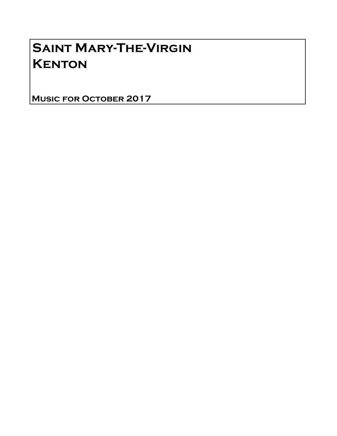## Saint Mary-The-Virgin **KENTON**

Music for October 2017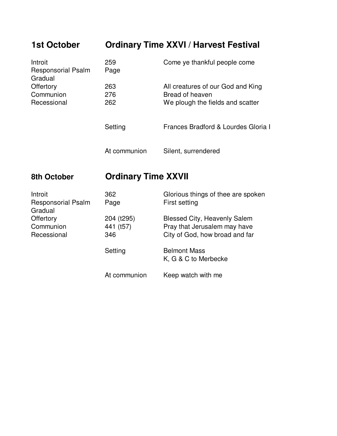## **1st October Ordinary Time XXVI / Harvest Festival**

| Introit<br><b>Responsorial Psalm</b><br>Gradual | 259<br>Page       | Come ye thankful people come                                                             |
|-------------------------------------------------|-------------------|------------------------------------------------------------------------------------------|
| Offertory<br>Communion<br>Recessional           | 263<br>276<br>262 | All creatures of our God and King<br>Bread of heaven<br>We plough the fields and scatter |
|                                                 | Setting           | Frances Bradford & Lourdes Gloria I                                                      |
|                                                 | At communion      | Silent, surrendered                                                                      |

## **8th October Ordinary Time XXVII**

| Introit<br><b>Responsorial Psalm</b><br>Gradual | 362<br>Page                    | Glorious things of thee are spoken<br>First setting                                                   |
|-------------------------------------------------|--------------------------------|-------------------------------------------------------------------------------------------------------|
| Offertory<br>Communion<br>Recessional           | 204 (t295)<br>441 (t57)<br>346 | <b>Blessed City, Heavenly Salem</b><br>Pray that Jerusalem may have<br>City of God, how broad and far |
|                                                 | Setting                        | <b>Belmont Mass</b><br>K, G & C to Merbecke                                                           |
|                                                 | At communion                   | Keep watch with me                                                                                    |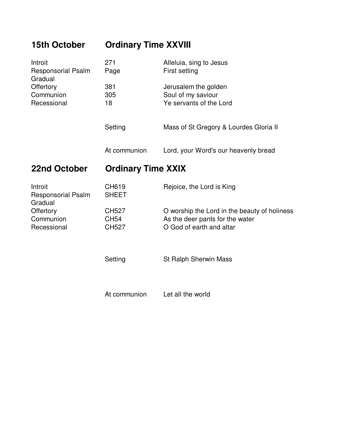| <b>15th October</b>                             | <b>Ordinary Time XXVIII</b>                 |                                                                                                             |  |
|-------------------------------------------------|---------------------------------------------|-------------------------------------------------------------------------------------------------------------|--|
| Introit<br><b>Responsorial Psalm</b><br>Gradual | 271<br>Page                                 | Alleluia, sing to Jesus<br>First setting                                                                    |  |
| Offertory<br>Communion<br>Recessional           | 381<br>305<br>18                            | Jerusalem the golden<br>Soul of my saviour<br>Ye servants of the Lord                                       |  |
|                                                 | Setting                                     | Mass of St Gregory & Lourdes Gloria II                                                                      |  |
|                                                 | At communion                                | Lord, your Word's our heavenly bread                                                                        |  |
| 22nd October                                    | <b>Ordinary Time XXIX</b>                   |                                                                                                             |  |
| Introit<br><b>Responsorial Psalm</b><br>Gradual | CH619<br><b>SHEET</b>                       | Rejoice, the Lord is King                                                                                   |  |
| Offertory<br>Communion<br>Recessional           | <b>CH527</b><br><b>CH54</b><br><b>CH527</b> | O worship the Lord in the beauty of holiness<br>As the deer pants for the water<br>O God of earth and altar |  |
|                                                 | Setting                                     | St Ralph Sherwin Mass                                                                                       |  |
|                                                 | At communion                                | Let all the world                                                                                           |  |